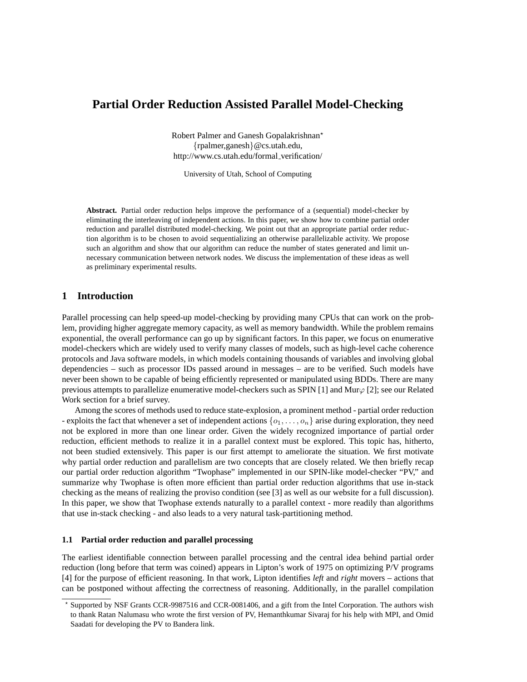# **Partial Order Reduction Assisted Parallel Model-Checking**

Robert Palmer and Ganesh Gopalakrishnan? {rpalmer,ganesh}@cs.utah.edu, http://www.cs.utah.edu/formal verification/

University of Utah, School of Computing

**Abstract.** Partial order reduction helps improve the performance of a (sequential) model-checker by eliminating the interleaving of independent actions. In this paper, we show how to combine partial order reduction and parallel distributed model-checking. We point out that an appropriate partial order reduction algorithm is to be chosen to avoid sequentializing an otherwise parallelizable activity. We propose such an algorithm and show that our algorithm can reduce the number of states generated and limit unnecessary communication between network nodes. We discuss the implementation of these ideas as well as preliminary experimental results.

# **1 Introduction**

Parallel processing can help speed-up model-checking by providing many CPUs that can work on the problem, providing higher aggregate memory capacity, as well as memory bandwidth. While the problem remains exponential, the overall performance can go up by significant factors. In this paper, we focus on enumerative model-checkers which are widely used to verify many classes of models, such as high-level cache coherence protocols and Java software models, in which models containing thousands of variables and involving global dependencies – such as processor IDs passed around in messages – are to be verified. Such models have never been shown to be capable of being efficiently represented or manipulated using BDDs. There are many previous attempts to parallelize enumerative model-checkers such as SPIN [1] and Mur $\varphi$  [2]; see our Related Work section for a brief survey.

Among the scores of methods used to reduce state-explosion, a prominent method - partial order reduction - exploits the fact that whenever a set of independent actions  $\{o_1, \ldots, o_n\}$  arise during exploration, they need not be explored in more than one linear order. Given the widely recognized importance of partial order reduction, efficient methods to realize it in a parallel context must be explored. This topic has, hitherto, not been studied extensively. This paper is our first attempt to ameliorate the situation. We first motivate why partial order reduction and parallelism are two concepts that are closely related. We then briefly recap our partial order reduction algorithm "Twophase" implemented in our SPIN-like model-checker "PV," and summarize why Twophase is often more efficient than partial order reduction algorithms that use in-stack checking as the means of realizing the proviso condition (see [3] as well as our website for a full discussion). In this paper, we show that Twophase extends naturally to a parallel context - more readily than algorithms that use in-stack checking - and also leads to a very natural task-partitioning method.

### **1.1 Partial order reduction and parallel processing**

The earliest identifiable connection between parallel processing and the central idea behind partial order reduction (long before that term was coined) appears in Lipton's work of 1975 on optimizing P/V programs [4] for the purpose of efficient reasoning. In that work, Lipton identifies *left* and *right* movers – actions that can be postponed without affecting the correctness of reasoning. Additionally, in the parallel compilation

<sup>?</sup> Supported by NSF Grants CCR-9987516 and CCR-0081406, and a gift from the Intel Corporation. The authors wish to thank Ratan Nalumasu who wrote the first version of PV, Hemanthkumar Sivaraj for his help with MPI, and Omid Saadati for developing the PV to Bandera link.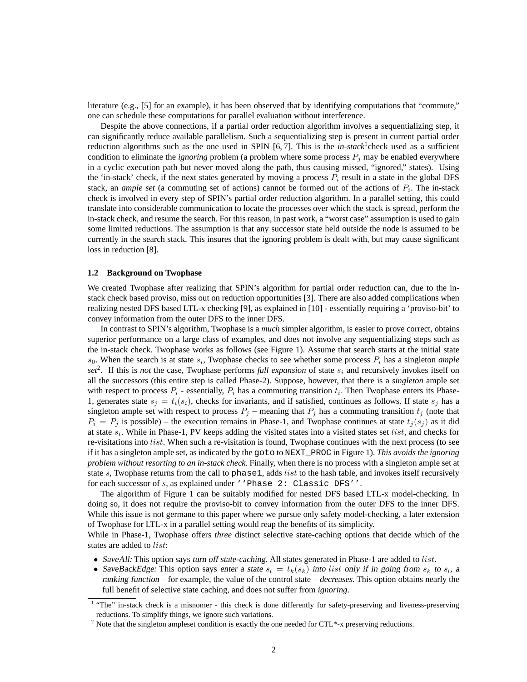literature (e.g., [5] for an example), it has been observed that by identifying computations that "commute," one can schedule these computations for parallel evaluation without interference.

Despite the above connections, if a partial order reduction algorithm involves a sequentializing step, it can significantly reduce available parallelism. Such a sequentializing step is present in current partial order reduction algorithms such as the one used in SPIN [6,7]. This is the *in-stack*<sup>1</sup> check used as a sufficient condition to eliminate the *ignoring* problem (a problem where some process  $P_i$  may be enabled everywhere in a cyclic execution path but never moved along the path, thus causing missed, "ignored," states). Using the 'in-stack' check, if the next states generated by moving a process  $P_i$  result in a state in the global DFS stack, an *ample set* (a commuting set of actions) cannot be formed out of the actions of  $P_i$ . The in-stack check is involved in every step of SPIN's partial order reduction algorithm. In a parallel setting, this could translate into considerable communication to locate the processes over which the stack is spread, perform the in-stack check, and resume the search. For this reason, in past work, a "worst case" assumption is used to gain some limited reductions. The assumption is that any successor state held outside the node is assumed to be currently in the search stack. This insures that the ignoring problem is dealt with, but may cause significant loss in reduction [8].

#### **1.2 Background on Twophase**

We created Twophase after realizing that SPIN's algorithm for partial order reduction can, due to the instack check based proviso, miss out on reduction opportunities [3]. There are also added complications when realizing nested DFS based LTL-x checking [9], as explained in [10] - essentially requiring a 'proviso-bit' to convey information from the outer DFS to the inner DFS.

In contrast to SPIN's algorithm, Twophase is a *much* simpler algorithm, is easier to prove correct, obtains superior performance on a large class of examples, and does not involve any sequentializing steps such as the in-stack check. Twophase works as follows (see Figure 1). Assume that search starts at the initial state  $s_0$ . When the search is at state  $s_i$ , Twophase checks to see whether some process  $P_i$  has a singleton *ample*  $set^2$ . If this is *not* the case, Twophase performs *full expansion* of state  $s_i$  and recursively invokes itself on all the successors (this entire step is called Phase-2). Suppose, however, that there is a *singleton* ample set with respect to process  $P_i$  - essentially,  $P_i$  has a commuting transition  $t_i$ . Then Twophase enters its Phase-1, generates state  $s_i = t_i(s_i)$ , checks for invariants, and if satisfied, continues as follows. If state  $s_i$  has a singleton ample set with respect to process  $P_j$  – meaning that  $P_j$  has a commuting transition  $t_j$  (note that  $P_i = P_j$  is possible) – the execution remains in Phase-1, and Twophase continues at state  $t_i(s_i)$  as it did at state  $s_i$ . While in Phase-1, PV keeps adding the visited states into a visited states set *list*, and checks for re-visitations into *list*. When such a re-visitation is found, Twophase continues with the next process (to see if it has a singleton ample set, as indicated by the goto to NEXT\_PROC in Figure 1). *This avoids the ignoring problem without resorting to an in-stack check.* Finally, when there is no process with a singleton ample set at state s, Twophase returns from the call to phase1, adds *list* to the hash table, and invokes itself recursively for each successor of s, as explained under ''Phase 2: Classic DFS''.

The algorithm of Figure 1 can be suitably modified for nested DFS based LTL-x model-checking. In doing so, it does not require the proviso-bit to convey information from the outer DFS to the inner DFS. While this issue is not germane to this paper where we pursue only safety model-checking, a later extension of Twophase for LTL-x in a parallel setting would reap the benefits of its simplicity.

While in Phase-1, Twophase offers *three* distinct selective state-caching options that decide which of the states are added to list:

- SaveAll: This option says turn off state-caching. All states generated in Phase-1 are added to  $list$ .
- SaveBackEdge: This option says enter a state  $s_l = t_k(s_k)$  into list only if in going from  $s_k$  to  $s_l$ , a ranking function – for example, the value of the control state – decreases. This option obtains nearly the full benefit of selective state caching, and does not suffer from *ignoring*.

<sup>&</sup>lt;sup>1</sup> "The" in-stack check is a misnomer - this check is done differently for safety-preserving and liveness-preserving reductions. To simplify things, we ignore such variations.

 $2$  Note that the singleton ampleset condition is exactly the one needed for CTL\*-x preserving reductions.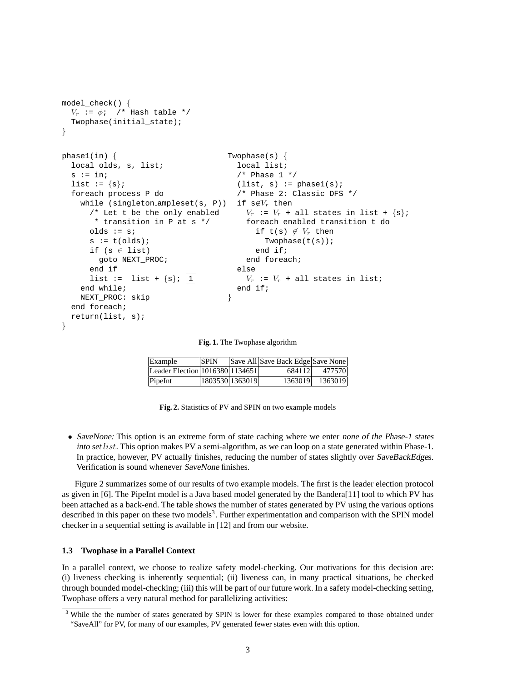```
model_check() {
  V_r := \phi; /* Hash table */
  Twophase(initial_state);
}
phase1(in) {
  local olds, s, list;
  s := in;list := \{s\};foreach process P do
    while (singleton ampleset(s, P)) if s\not\in V_r then
      /* Let t be the only enabled
       * transition in P at s */
      olds := s;
      s := t(olds);
      if (s \in list)goto NEXT_PROC;
      end if
      list := list + \{s\}; |1|
    end while;
    NEXT_PROC: skip
  end foreach;
  return(list, s);
}
                                      Twophase(s) {
                                        local list;
                                        /* Phase 1 */(list, s) := phase1(s);/* Phase 2: Classic DFS */
                                         V_r := V_r + all states in list + {s};
                                          foreach enabled transition t do
                                            if t(s) \notin V_r then
                                              Twophase(t(s));
                                            end if;
                                          end foreach;
                                        else
                                          V_r := V_r + all states in list;
                                        end if;
                                      }
```
**Fig. 1.** The Twophase algorithm

| Example                         | <b>SPIN</b> |                 | Save All Save Back Edge Save None |         |
|---------------------------------|-------------|-----------------|-----------------------------------|---------|
| Leader Election 1016380 1134651 |             |                 | 684112                            | 477570  |
| PipeInt                         |             | 1803530 1363019 | 1363019                           | 1363019 |

**Fig. 2.** Statistics of PV and SPIN on two example models

• SaveNone: This option is an extreme form of state caching where we enter none of the Phase-1 states into set *list*. This option makes PV a semi-algorithm, as we can loop on a state generated within Phase-1. In practice, however, PV actually finishes, reducing the number of states slightly over SaveBackEdges. Verification is sound whenever SaveNone finishes.

Figure 2 summarizes some of our results of two example models. The first is the leader election protocol as given in [6]. The PipeInt model is a Java based model generated by the Bandera[11] tool to which PV has been attached as a back-end. The table shows the number of states generated by PV using the various options described in this paper on these two models<sup>3</sup>. Further experimentation and comparison with the SPIN model checker in a sequential setting is available in [12] and from our website.

### **1.3 Twophase in a Parallel Context**

In a parallel context, we choose to realize safety model-checking. Our motivations for this decision are: (i) liveness checking is inherently sequential; (ii) liveness can, in many practical situations, be checked through bounded model-checking; (iii) this will be part of our future work. In a safety model-checking setting, Twophase offers a very natural method for parallelizing activities:

<sup>&</sup>lt;sup>3</sup> While the the number of states generated by SPIN is lower for these examples compared to those obtained under "SaveAll" for PV, for many of our examples, PV generated fewer states even with this option.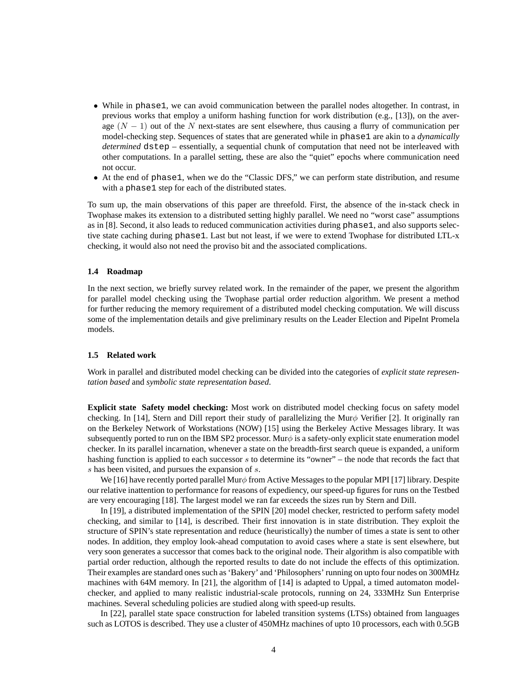- While in phase 1, we can avoid communication between the parallel nodes altogether. In contrast, in previous works that employ a uniform hashing function for work distribution (e.g., [13]), on the average  $(N - 1)$  out of the N next-states are sent elsewhere, thus causing a flurry of communication per model-checking step. Sequences of states that are generated while in phase1 are akin to a *dynamically determined* dstep – essentially, a sequential chunk of computation that need not be interleaved with other computations. In a parallel setting, these are also the "quiet" epochs where communication need not occur.
- At the end of phase1, when we do the "Classic DFS," we can perform state distribution, and resume with a phase1 step for each of the distributed states.

To sum up, the main observations of this paper are threefold. First, the absence of the in-stack check in Twophase makes its extension to a distributed setting highly parallel. We need no "worst case" assumptions as in [8]. Second, it also leads to reduced communication activities during phase1, and also supports selective state caching during phase1. Last but not least, if we were to extend Twophase for distributed LTL-x checking, it would also not need the proviso bit and the associated complications.

#### **1.4 Roadmap**

In the next section, we briefly survey related work. In the remainder of the paper, we present the algorithm for parallel model checking using the Twophase partial order reduction algorithm. We present a method for further reducing the memory requirement of a distributed model checking computation. We will discuss some of the implementation details and give preliminary results on the Leader Election and PipeInt Promela models.

#### **1.5 Related work**

Work in parallel and distributed model checking can be divided into the categories of *explicit state representation based* and *symbolic state representation based*.

**Explicit state Safety model checking:** Most work on distributed model checking focus on safety model checking. In [14], Stern and Dill report their study of parallelizing the Mur $\phi$  Verifier [2]. It originally ran on the Berkeley Network of Workstations (NOW) [15] using the Berkeley Active Messages library. It was subsequently ported to run on the IBM SP2 processor. Mur $\phi$  is a safety-only explicit state enumeration model checker. In its parallel incarnation, whenever a state on the breadth-first search queue is expanded, a uniform hashing function is applied to each successor s to determine its "owner" – the node that records the fact that s has been visited, and pursues the expansion of s.

We [16] have recently ported parallel Mur $\phi$  from Active Messages to the popular MPI [17] library. Despite our relative inattention to performance for reasons of expediency, our speed-up figures for runs on the Testbed are very encouraging [18]. The largest model we ran far exceeds the sizes run by Stern and Dill.

In [19], a distributed implementation of the SPIN [20] model checker, restricted to perform safety model checking, and similar to [14], is described. Their first innovation is in state distribution. They exploit the structure of SPIN's state representation and reduce (heuristically) the number of times a state is sent to other nodes. In addition, they employ look-ahead computation to avoid cases where a state is sent elsewhere, but very soon generates a successor that comes back to the original node. Their algorithm is also compatible with partial order reduction, although the reported results to date do not include the effects of this optimization. Their examples are standard ones such as 'Bakery' and 'Philosophers' running on upto four nodes on 300MHz machines with 64M memory. In [21], the algorithm of [14] is adapted to Uppal, a timed automaton modelchecker, and applied to many realistic industrial-scale protocols, running on 24, 333MHz Sun Enterprise machines. Several scheduling policies are studied along with speed-up results.

In [22], parallel state space construction for labeled transition systems (LTSs) obtained from languages such as LOTOS is described. They use a cluster of 450MHz machines of upto 10 processors, each with 0.5GB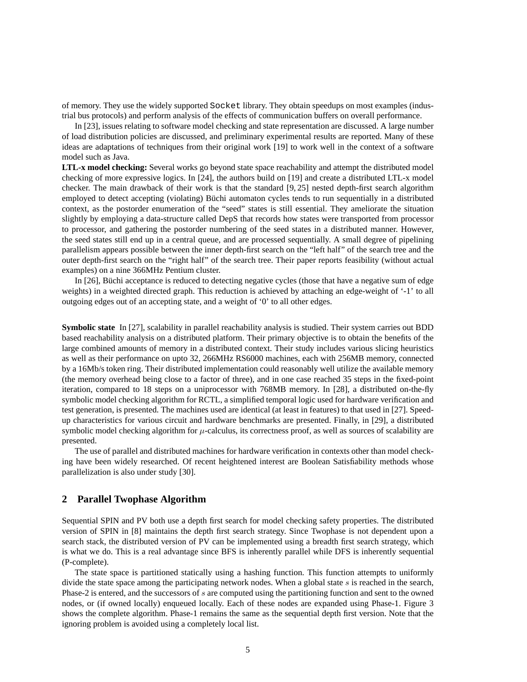of memory. They use the widely supported Socket library. They obtain speedups on most examples (industrial bus protocols) and perform analysis of the effects of communication buffers on overall performance.

In [23], issues relating to software model checking and state representation are discussed. A large number of load distribution policies are discussed, and preliminary experimental results are reported. Many of these ideas are adaptations of techniques from their original work [19] to work well in the context of a software model such as Java.

**LTL-x model checking:** Several works go beyond state space reachability and attempt the distributed model checking of more expressive logics. In [24], the authors build on [19] and create a distributed LTL-x model checker. The main drawback of their work is that the standard [9, 25] nested depth-first search algorithm employed to detect accepting (violating) Büchi automaton cycles tends to run sequentially in a distributed context, as the postorder enumeration of the "seed" states is still essential. They ameliorate the situation slightly by employing a data-structure called DepS that records how states were transported from processor to processor, and gathering the postorder numbering of the seed states in a distributed manner. However, the seed states still end up in a central queue, and are processed sequentially. A small degree of pipelining parallelism appears possible between the inner depth-first search on the "left half" of the search tree and the outer depth-first search on the "right half" of the search tree. Their paper reports feasibility (without actual examples) on a nine 366MHz Pentium cluster.

In  $[26]$ , Büchi acceptance is reduced to detecting negative cycles (those that have a negative sum of edge weights) in a weighted directed graph. This reduction is achieved by attaching an edge-weight of '-1' to all outgoing edges out of an accepting state, and a weight of '0' to all other edges.

**Symbolic state** In [27], scalability in parallel reachability analysis is studied. Their system carries out BDD based reachability analysis on a distributed platform. Their primary objective is to obtain the benefits of the large combined amounts of memory in a distributed context. Their study includes various slicing heuristics as well as their performance on upto 32, 266MHz RS6000 machines, each with 256MB memory, connected by a 16Mb/s token ring. Their distributed implementation could reasonably well utilize the available memory (the memory overhead being close to a factor of three), and in one case reached 35 steps in the fixed-point iteration, compared to 18 steps on a uniprocessor with 768MB memory. In [28], a distributed on-the-fly symbolic model checking algorithm for RCTL, a simplified temporal logic used for hardware verification and test generation, is presented. The machines used are identical (at least in features) to that used in [27]. Speedup characteristics for various circuit and hardware benchmarks are presented. Finally, in [29], a distributed symbolic model checking algorithm for  $\mu$ -calculus, its correctness proof, as well as sources of scalability are presented.

The use of parallel and distributed machines for hardware verification in contexts other than model checking have been widely researched. Of recent heightened interest are Boolean Satisfiability methods whose parallelization is also under study [30].

### **2 Parallel Twophase Algorithm**

Sequential SPIN and PV both use a depth first search for model checking safety properties. The distributed version of SPIN in [8] maintains the depth first search strategy. Since Twophase is not dependent upon a search stack, the distributed version of PV can be implemented using a breadth first search strategy, which is what we do. This is a real advantage since BFS is inherently parallel while DFS is inherently sequential (P-complete).

The state space is partitioned statically using a hashing function. This function attempts to uniformly divide the state space among the participating network nodes. When a global state  $s$  is reached in the search, Phase-2 is entered, and the successors of s are computed using the partitioning function and sent to the owned nodes, or (if owned locally) enqueued locally. Each of these nodes are expanded using Phase-1. Figure 3 shows the complete algorithm. Phase-1 remains the same as the sequential depth first version. Note that the ignoring problem is avoided using a completely local list.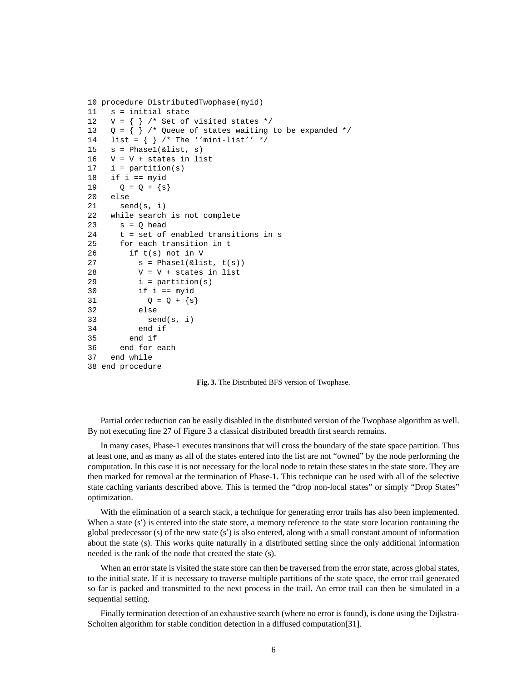```
10 procedure DistributedTwophase(myid)
11 s = initial state
12 V = \{\} /* Set of visited states */
13 Q = \{\} /* Queue of states waiting to be expanded */
14 list = \{\} /* The ''mini-list'' */
15 s = Phase1(\&list, s)16 \tV = V + states in list17 i = partition(s)
18 if i == myid
19 Q = Q + \{s\}20 else
21 send(s, i)
22 while search is not complete
23 s = 0 head
24 t = set of enabled transitions in s
25 for each transition in t
26 if t(s) not in V
27 s = Phase1(&list, t(s))
28 \tV = V + \text{states in list}29 i = partition(s)
30 if i == myid
31 Q = Q + \{s\}32 else
33 send(s, i)
34 end if
35 end if
36 end for each
37 end while
38 end procedure
```
**Fig. 3.** The Distributed BFS version of Twophase.

Partial order reduction can be easily disabled in the distributed version of the Twophase algorithm as well. By not executing line 27 of Figure 3 a classical distributed breadth first search remains.

In many cases, Phase-1 executes transitions that will cross the boundary of the state space partition. Thus at least one, and as many as all of the states entered into the list are not "owned" by the node performing the computation. In this case it is not necessary for the local node to retain these states in the state store. They are then marked for removal at the termination of Phase-1. This technique can be used with all of the selective state caching variants described above. This is termed the "drop non-local states" or simply "Drop States" optimization.

With the elimination of a search stack, a technique for generating error trails has also been implemented. When a state  $(s')$  is entered into the state store, a memory reference to the state store location containing the global predecessor (s) of the new state  $(s')$  is also entered, along with a small constant amount of information about the state (s). This works quite naturally in a distributed setting since the only additional information needed is the rank of the node that created the state (s).

When an error state is visited the state store can then be traversed from the error state, across global states, to the initial state. If it is necessary to traverse multiple partitions of the state space, the error trail generated so far is packed and transmitted to the next process in the trail. An error trail can then be simulated in a sequential setting.

Finally termination detection of an exhaustive search (where no error is found), is done using the Dijkstra-Scholten algorithm for stable condition detection in a diffused computation[31].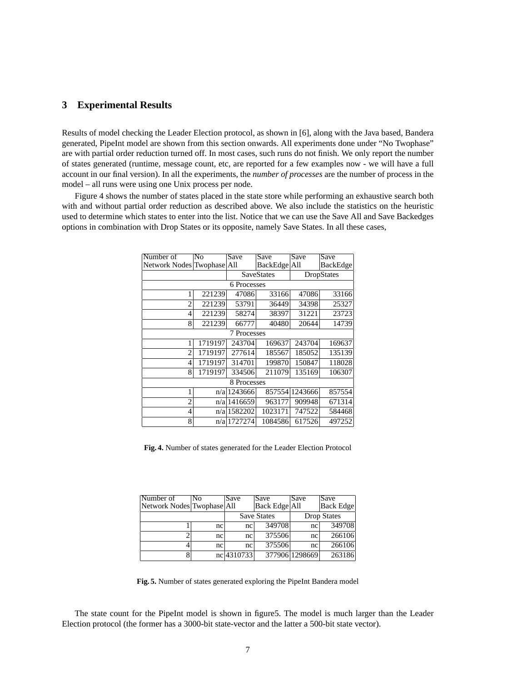# **3 Experimental Results**

Results of model checking the Leader Election protocol, as shown in [6], along with the Java based, Bandera generated, PipeInt model are shown from this section onwards. All experiments done under "No Twophase" are with partial order reduction turned off. In most cases, such runs do not finish. We only report the number of states generated (runtime, message count, etc, are reported for a few examples now - we will have a full account in our final version). In all the experiments, the *number of processes* are the number of process in the model – all runs were using one Unix process per node.

Figure 4 shows the number of states placed in the state store while performing an exhaustive search both with and without partial order reduction as described above. We also include the statistics on the heuristic used to determine which states to enter into the list. Notice that we can use the Save All and Save Backedges options in combination with Drop States or its opposite, namely Save States. In all these cases,

| Number of                  | No      | Save              | Save         | Save           | Save     |  |
|----------------------------|---------|-------------------|--------------|----------------|----------|--|
| Network Nodes Twophase All |         |                   | BackEdge All |                | BackEdge |  |
|                            |         | <b>SaveStates</b> |              | DropStates     |          |  |
| 6 Processes                |         |                   |              |                |          |  |
|                            | 221239  | 47086             | 33166        | 47086          | 33166    |  |
| $\overline{c}$             | 221239  | 53791             | 36449        | 34398          | 25327    |  |
| $\overline{4}$             | 221239  | 58274             | 38397        | 31221          | 23723    |  |
| 8                          | 221239  | 66777             | 40480        | 20644          | 14739    |  |
| 7 Processes                |         |                   |              |                |          |  |
| 1                          | 1719197 | 243704            | 169637       | 243704         | 169637   |  |
| $\overline{c}$             | 1719197 | 277614            | 185567       | 185052         | 135139   |  |
| 4                          | 1719197 | 314701            | 199870       | 150847         | 118028   |  |
| 8                          | 1719197 | 334506            | 211079       | 135169         | 106307   |  |
| 8 Processes                |         |                   |              |                |          |  |
| 1                          |         | $n/a$   1243666   |              | 857554 1243666 | 857554   |  |
| 2                          |         | $n/a$   1416659   | 963177       | 909948         | 671314   |  |
| 4                          |         | $n/a$   1582202   | 1023171      | 747522         | 584468   |  |
| 8                          |         | n/a 1727274       | 1084586      | 617526         | 497252   |  |
|                            |         |                   |              |                |          |  |

**Fig. 4.** Number of states generated for the Leader Election Protocol

| Number of                  | No. | <b>Save</b>        | Save          | <b>Save</b>        | <b>Save</b>      |
|----------------------------|-----|--------------------|---------------|--------------------|------------------|
| Network Nodes Twophase All |     |                    | Back Edge All |                    | <b>Back Edge</b> |
|                            |     | <b>Save States</b> |               | <b>Drop States</b> |                  |
|                            | nc  | nc                 | 349708        | nc                 | 349708           |
|                            | nc  | nc                 | 375506        | nc                 | 266106           |
|                            | nc  | nc                 | 375506        | nc                 | 266106           |
|                            |     | nc 4310733         |               | 377906 1298669     | 263186           |

**Fig. 5.** Number of states generated exploring the PipeInt Bandera model

The state count for the PipeInt model is shown in figure5. The model is much larger than the Leader Election protocol (the former has a 3000-bit state-vector and the latter a 500-bit state vector).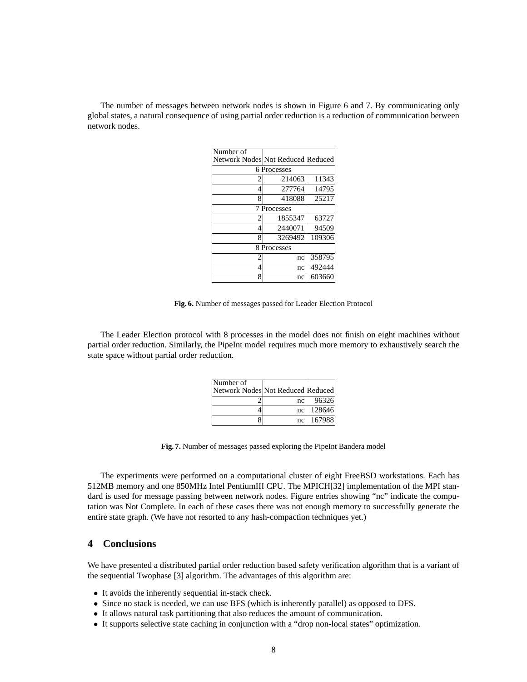The number of messages between network nodes is shown in Figure 6 and 7. By communicating only global states, a natural consequence of using partial order reduction is a reduction of communication between network nodes.

| Number of                         |         |        |  |  |
|-----------------------------------|---------|--------|--|--|
| Network Nodes Not Reduced Reduced |         |        |  |  |
| 6 Processes                       |         |        |  |  |
| 2                                 | 214063  | 11343  |  |  |
| $\overline{4}$                    | 277764  | 14795  |  |  |
| 8                                 | 418088  | 25217  |  |  |
| 7 Processes                       |         |        |  |  |
| $\overline{c}$                    | 1855347 | 63727  |  |  |
| 4                                 | 2440071 | 94509  |  |  |
| 8                                 | 3269492 | 109306 |  |  |
| 8 Processes                       |         |        |  |  |
| $\mathfrak{D}$                    | nc      | 358795 |  |  |
| 4                                 | nc      | 492444 |  |  |
| 8                                 | nc      | 603660 |  |  |

**Fig. 6.** Number of messages passed for Leader Election Protocol

The Leader Election protocol with 8 processes in the model does not finish on eight machines without partial order reduction. Similarly, the PipeInt model requires much more memory to exhaustively search the state space without partial order reduction.

| Number of                         |                 |        |
|-----------------------------------|-----------------|--------|
| Network Nodes Not Reduced Reduced |                 |        |
|                                   | nc <sub>l</sub> | 96326  |
|                                   | nc <sub>1</sub> | 128646 |
|                                   | nc <sub>l</sub> | 167988 |

**Fig. 7.** Number of messages passed exploring the PipeInt Bandera model

The experiments were performed on a computational cluster of eight FreeBSD workstations. Each has 512MB memory and one 850MHz Intel PentiumIII CPU. The MPICH[32] implementation of the MPI standard is used for message passing between network nodes. Figure entries showing "nc" indicate the computation was Not Complete. In each of these cases there was not enough memory to successfully generate the entire state graph. (We have not resorted to any hash-compaction techniques yet.)

# **4 Conclusions**

We have presented a distributed partial order reduction based safety verification algorithm that is a variant of the sequential Twophase [3] algorithm. The advantages of this algorithm are:

- It avoids the inherently sequential in-stack check.
- Since no stack is needed, we can use BFS (which is inherently parallel) as opposed to DFS.
- It allows natural task partitioning that also reduces the amount of communication.
- It supports selective state caching in conjunction with a "drop non-local states" optimization.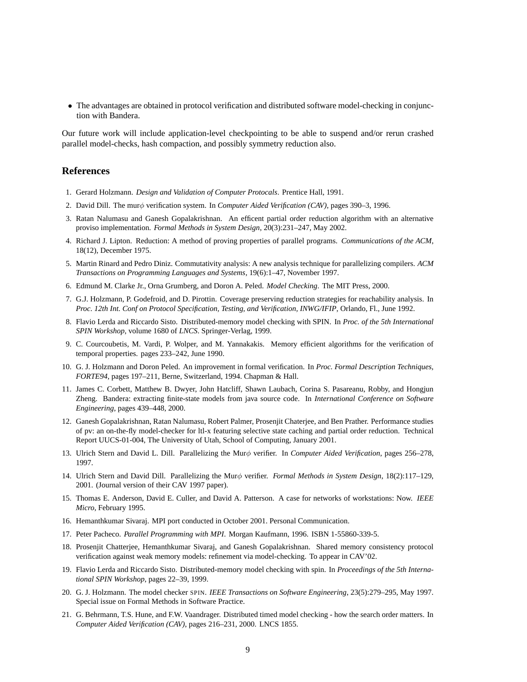• The advantages are obtained in protocol verification and distributed software model-checking in conjunction with Bandera.

Our future work will include application-level checkpointing to be able to suspend and/or rerun crashed parallel model-checks, hash compaction, and possibly symmetry reduction also.

# **References**

- 1. Gerard Holzmann. *Design and Validation of Computer Protocals*. Prentice Hall, 1991.
- 2. David Dill. The murφ verification system. In *Computer Aided Verification (CAV)*, pages 390–3, 1996.
- 3. Ratan Nalumasu and Ganesh Gopalakrishnan. An efficent partial order reduction algorithm with an alternative proviso implementation. *Formal Methods in System Design*, 20(3):231–247, May 2002.
- 4. Richard J. Lipton. Reduction: A method of proving properties of parallel programs. *Communications of the ACM*, 18(12), December 1975.
- 5. Martin Rinard and Pedro Diniz. Commutativity analysis: A new analysis technique for parallelizing compilers. *ACM Transactions on Programming Languages and Systems*, 19(6):1–47, November 1997.
- 6. Edmund M. Clarke Jr., Orna Grumberg, and Doron A. Peled. *Model Checking*. The MIT Press, 2000.
- 7. G.J. Holzmann, P. Godefroid, and D. Pirottin. Coverage preserving reduction strategies for reachability analysis. In *Proc. 12th Int. Conf on Protocol Specification, Testing, and Verification, INWG/IFIP*, Orlando, Fl., June 1992.
- 8. Flavio Lerda and Riccardo Sisto. Distributed-memory model checking with SPIN. In *Proc. of the 5th International SPIN Workshop*, volume 1680 of *LNCS*. Springer-Verlag, 1999.
- 9. C. Courcoubetis, M. Vardi, P. Wolper, and M. Yannakakis. Memory efficient algorithms for the verification of temporal properties. pages 233–242, June 1990.
- 10. G. J. Holzmann and Doron Peled. An improvement in formal verification. In *Proc. Formal Description Techniques, FORTE94*, pages 197–211, Berne, Switzerland, 1994. Chapman & Hall.
- 11. James C. Corbett, Matthew B. Dwyer, John Hatcliff, Shawn Laubach, Corina S. Pasareanu, Robby, and Hongjun Zheng. Bandera: extracting finite-state models from java source code. In *International Conference on Software Engineering*, pages 439–448, 2000.
- 12. Ganesh Gopalakrishnan, Ratan Nalumasu, Robert Palmer, Prosenjit Chaterjee, and Ben Prather. Performance studies of pv: an on-the-fly model-checker for ltl-x featuring selective state caching and partial order reduction. Technical Report UUCS-01-004, The University of Utah, School of Computing, January 2001.
- 13. Ulrich Stern and David L. Dill. Parallelizing the Murφ verifier. In *Computer Aided Verification*, pages 256–278, 1997.
- 14. Ulrich Stern and David Dill. Parallelizing the Murφ verifier. *Formal Methods in System Design*, 18(2):117–129, 2001. (Journal version of their CAV 1997 paper).
- 15. Thomas E. Anderson, David E. Culler, and David A. Patterson. A case for networks of workstations: Now. *IEEE Micro*, February 1995.
- 16. Hemanthkumar Sivaraj. MPI port conducted in October 2001. Personal Communication.
- 17. Peter Pacheco. *Parallel Programming with MPI*. Morgan Kaufmann, 1996. ISBN 1-55860-339-5.
- 18. Prosenjit Chatterjee, Hemanthkumar Sivaraj, and Ganesh Gopalakrishnan. Shared memory consistency protocol verification against weak memory models: refinement via model-checking. To appear in CAV'02.
- 19. Flavio Lerda and Riccardo Sisto. Distributed-memory model checking with spin. In *Proceedings of the 5th International SPIN Workshop*, pages 22–39, 1999.
- 20. G. J. Holzmann. The model checker SPIN. *IEEE Transactions on Software Engineering*, 23(5):279–295, May 1997. Special issue on Formal Methods in Software Practice.
- 21. G. Behrmann, T.S. Hune, and F.W. Vaandrager. Distributed timed model checking how the search order matters. In *Computer Aided Verification (CAV)*, pages 216–231, 2000. LNCS 1855.